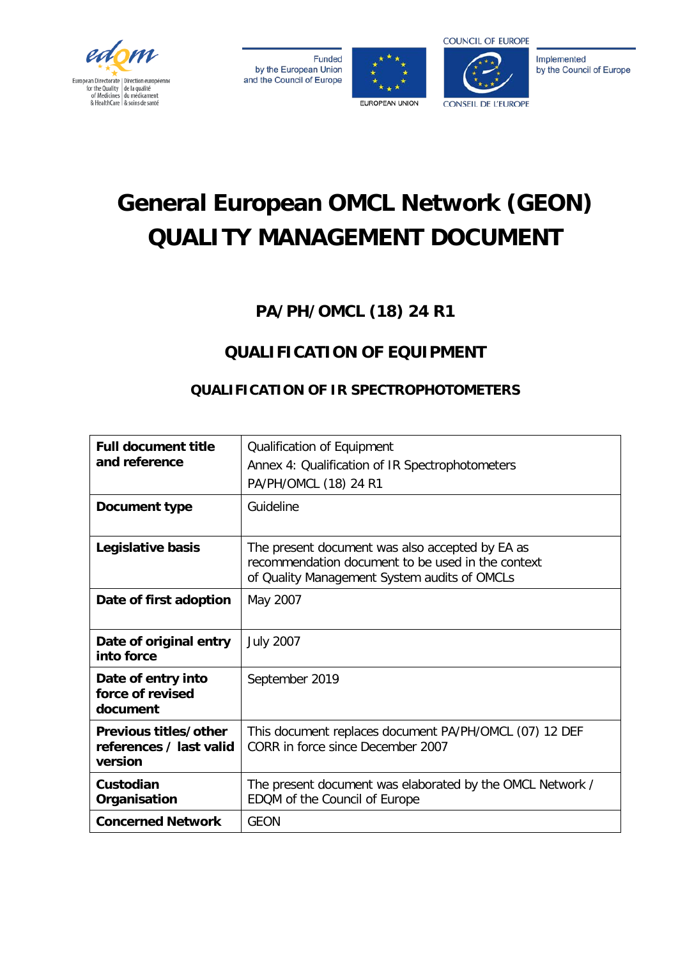

**Funded** by the European Union and the Council of Europe





Implemented by the Council of Europe

# **General European OMCL Network (GEON) QUALITY MANAGEMENT DOCUMENT**

**PA/PH/OMCL (18) 24 R1**

## **QUALIFICATION OF EQUIPMENT**

## **QUALIFICATION OF IR SPECTROPHOTOMETERS**

| <b>Full document title</b><br>and reference                 | Qualification of Equipment<br>Annex 4: Qualification of IR Spectrophotometers<br>PA/PH/OMCL (18) 24 R1                                               |  |
|-------------------------------------------------------------|------------------------------------------------------------------------------------------------------------------------------------------------------|--|
| Document type                                               | Guideline                                                                                                                                            |  |
| Legislative basis                                           | The present document was also accepted by EA as<br>recommendation document to be used in the context<br>of Quality Management System audits of OMCLs |  |
| Date of first adoption                                      | May 2007                                                                                                                                             |  |
| Date of original entry<br>into force                        | <b>July 2007</b>                                                                                                                                     |  |
| Date of entry into<br>force of revised<br>document          | September 2019                                                                                                                                       |  |
| Previous titles/other<br>references / last valid<br>version | This document replaces document PA/PH/OMCL (07) 12 DEF<br>CORR in force since December 2007                                                          |  |
| Custodian<br>Organisation                                   | The present document was elaborated by the OMCL Network /<br>EDQM of the Council of Europe                                                           |  |
| <b>Concerned Network</b>                                    | <b>GEON</b>                                                                                                                                          |  |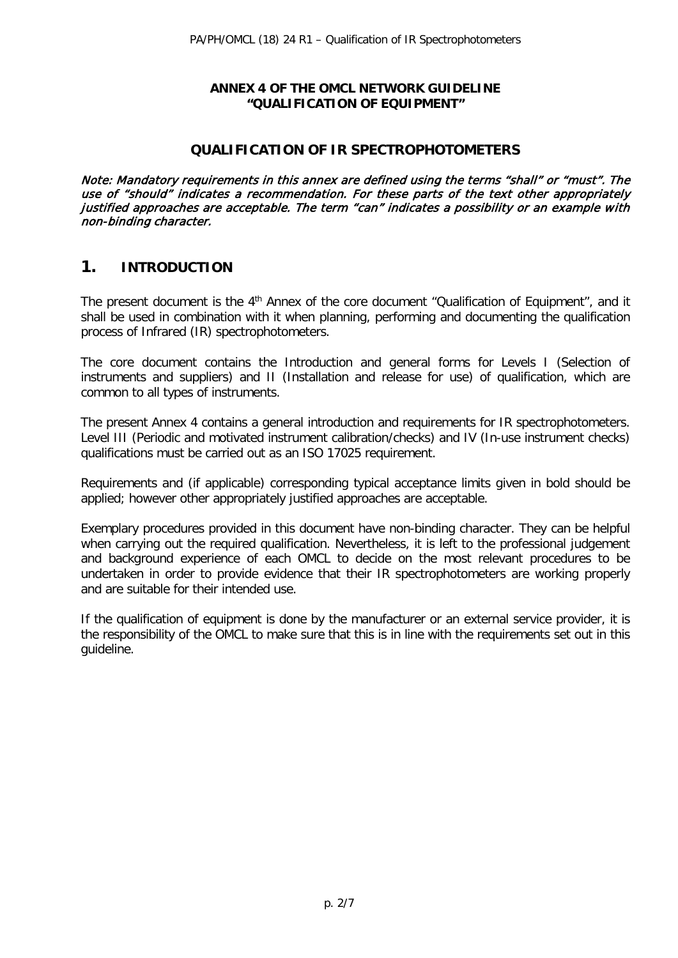#### **ANNEX 4 OF THE OMCL NETWORK GUIDELINE "QUALIFICATION OF EQUIPMENT"**

#### **QUALIFICATION OF IR SPECTROPHOTOMETERS**

Note: Mandatory requirements in this annex are defined using the terms "shall" or "must". The use of "should" indicates a recommendation. For these parts of the text other appropriately justified approaches are acceptable. The term "can" indicates a possibility or an example with non-binding character.

## **1. INTRODUCTION**

The present document is the 4<sup>th</sup> Annex of the core document "Qualification of Equipment", and it shall be used in combination with it when planning, performing and documenting the qualification process of Infrared (IR) spectrophotometers.

The core document contains the Introduction and general forms for Levels I (Selection of instruments and suppliers) and II (Installation and release for use) of qualification, which are common to all types of instruments.

The present Annex 4 contains a general introduction and requirements for IR spectrophotometers. Level III (Periodic and motivated instrument calibration/checks) and IV (In-use instrument checks) qualifications must be carried out as an ISO 17025 requirement.

Requirements and (if applicable) corresponding typical acceptance limits given in bold should be applied; however other appropriately justified approaches are acceptable.

Exemplary procedures provided in this document have non-binding character. They can be helpful when carrying out the required qualification. Nevertheless, it is left to the professional judgement and background experience of each OMCL to decide on the most relevant procedures to be undertaken in order to provide evidence that their IR spectrophotometers are working properly and are suitable for their intended use.

If the qualification of equipment is done by the manufacturer or an external service provider, it is the responsibility of the OMCL to make sure that this is in line with the requirements set out in this guideline.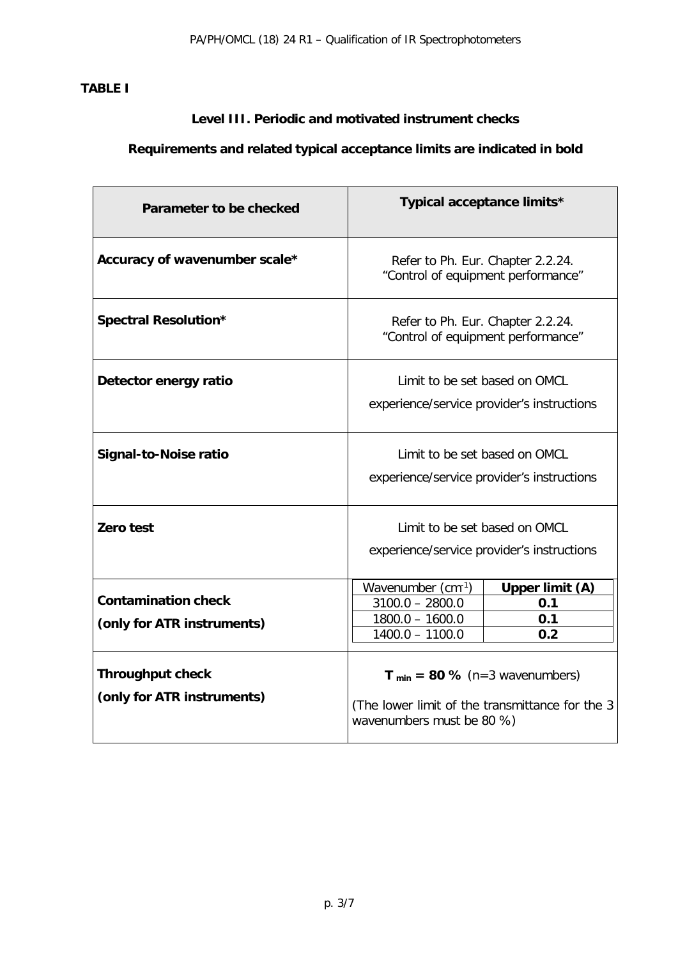## **TABLE I**

## **Level III. Periodic and motivated instrument checks**

## **Requirements and related typical acceptance limits are indicated in bold**

| Parameter to be checked                                  | Typical acceptance limits*                                                                                         |                                      |
|----------------------------------------------------------|--------------------------------------------------------------------------------------------------------------------|--------------------------------------|
| Accuracy of wavenumber scale*                            | Refer to Ph. Eur. Chapter 2.2.24.<br>"Control of equipment performance"                                            |                                      |
| Spectral Resolution*                                     | Refer to Ph. Eur. Chapter 2.2.24.<br>"Control of equipment performance"                                            |                                      |
| Detector energy ratio                                    | Limit to be set based on OMCL<br>experience/service provider's instructions                                        |                                      |
| Signal-to-Noise ratio                                    | Limit to be set based on OMCL<br>experience/service provider's instructions                                        |                                      |
| Zero test                                                | Limit to be set based on OMCL<br>experience/service provider's instructions                                        |                                      |
| <b>Contamination check</b><br>(only for ATR instruments) | Wavenumber (cm-1)<br>$3100.0 - 2800.0$<br>$1800.0 - 1600.0$<br>$1400.0 - 1100.0$                                   | Upper limit (A)<br>0.1<br>0.1<br>0.2 |
| <b>Throughput check</b><br>(only for ATR instruments)    | $T_{min} = 80$ % (n=3 wavenumbers)<br>(The lower limit of the transmittance for the 3<br>wavenumbers must be 80 %) |                                      |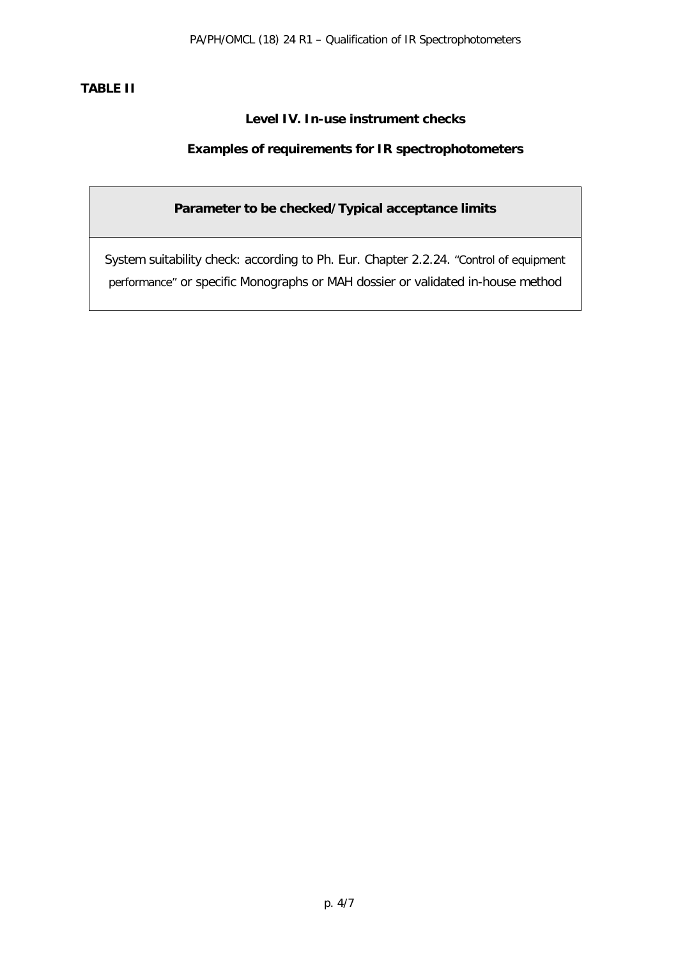## **TABLE II**

## **Level IV. In-use instrument checks**

## **Examples of requirements for IR spectrophotometers**

## **Parameter to be checked/Typical acceptance limits**

System suitability check: according to Ph. Eur. Chapter 2.2.24. "Control of equipment performance" or specific Monographs or MAH dossier or validated in-house method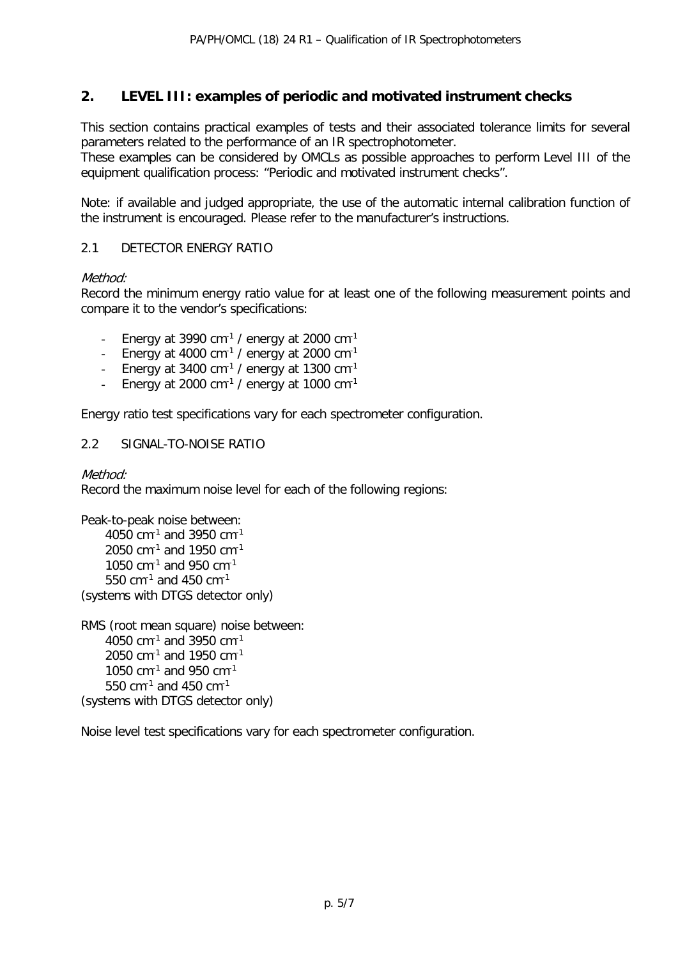## **2. LEVEL III: examples of periodic and motivated instrument checks**

This section contains practical examples of tests and their associated tolerance limits for several parameters related to the performance of an IR spectrophotometer.

These examples can be considered by OMCLs as possible approaches to perform Level III of the equipment qualification process: "Periodic and motivated instrument checks".

Note: if available and judged appropriate, the use of the automatic internal calibration function of the instrument is encouraged. Please refer to the manufacturer's instructions.

#### 2.1 DETECTOR ENERGY RATIO

#### Method<sup>.</sup>

Record the minimum energy ratio value for at least one of the following measurement points and compare it to the vendor's specifications:

- Energy at 3990 cm $^{-1}$  / energy at 2000 cm $^{-1}$
- Energy at 4000  $cm^{-1}$  / energy at 2000  $cm^{-1}$
- Energy at 3400 cm<sup>-1</sup> / energy at 1300 cm<sup>-1</sup>
- Energy at 2000 cm $^{-1}$  / energy at 1000 cm $^{-1}$

Energy ratio test specifications vary for each spectrometer configuration.

#### 2.2 SIGNAL-TO-NOISE RATIO

#### Method:

Record the maximum noise level for each of the following regions:

```
Peak-to-peak noise between:
    4050 cm^{-1} and 3950 cm^{-1}2050 cm-1 and 1950 cm-1
    1050 cm^{-1} and 950 cm^{-1}550 cm-1 and 450 cm-1
(systems with DTGS detector only)
```

```
RMS (root mean square) noise between:
    4050 cm^{-1} and 3950 cm^{-1}2050 cm-1 and 1950 cm-1
    1050 cm-1 and 950 cm-1
    550 cm-1 and 450 cm-1
(systems with DTGS detector only)
```
Noise level test specifications vary for each spectrometer configuration.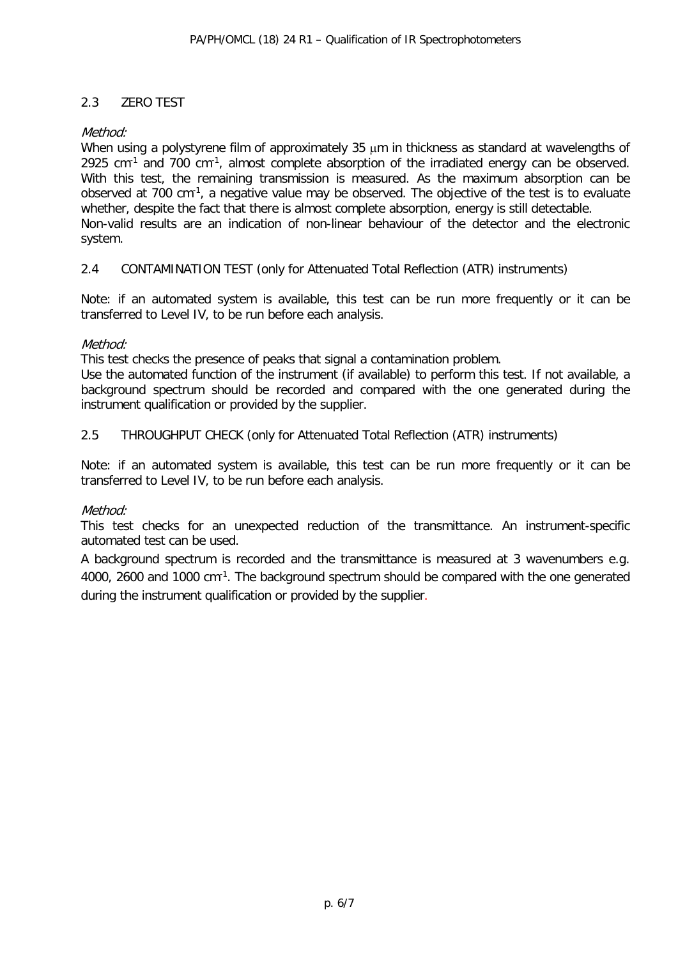## 2.3 ZERO TEST

#### Method:

When using a polystyrene film of approximately 35  $\mu$ m in thickness as standard at wavelengths of 2925 cm $^{-1}$  and 700 cm $^{-1}$ , almost complete absorption of the irradiated energy can be observed. With this test, the remaining transmission is measured. As the maximum absorption can be observed at 700 cm<sup>-1</sup>, a negative value may be observed. The objective of the test is to evaluate whether, despite the fact that there is almost complete absorption, energy is still detectable. Non-valid results are an indication of non-linear behaviour of the detector and the electronic system.

#### 2.4 CONTAMINATION TEST (only for Attenuated Total Reflection (ATR) instruments)

Note: if an automated system is available, this test can be run more frequently or it can be transferred to Level IV, to be run before each analysis.

#### Method:

This test checks the presence of peaks that signal a contamination problem.

Use the automated function of the instrument (if available) to perform this test. If not available, a background spectrum should be recorded and compared with the one generated during the instrument qualification or provided by the supplier.

#### 2.5 THROUGHPUT CHECK (only for Attenuated Total Reflection (ATR) instruments)

Note: if an automated system is available, this test can be run more frequently or it can be transferred to Level IV, to be run before each analysis.

#### Method:

This test checks for an unexpected reduction of the transmittance. An instrument-specific automated test can be used.

A background spectrum is recorded and the transmittance is measured at 3 wavenumbers e.g. 4000, 2600 and 1000 cm<sup>-1</sup>. The background spectrum should be compared with the one generated during the instrument qualification or provided by the supplier.